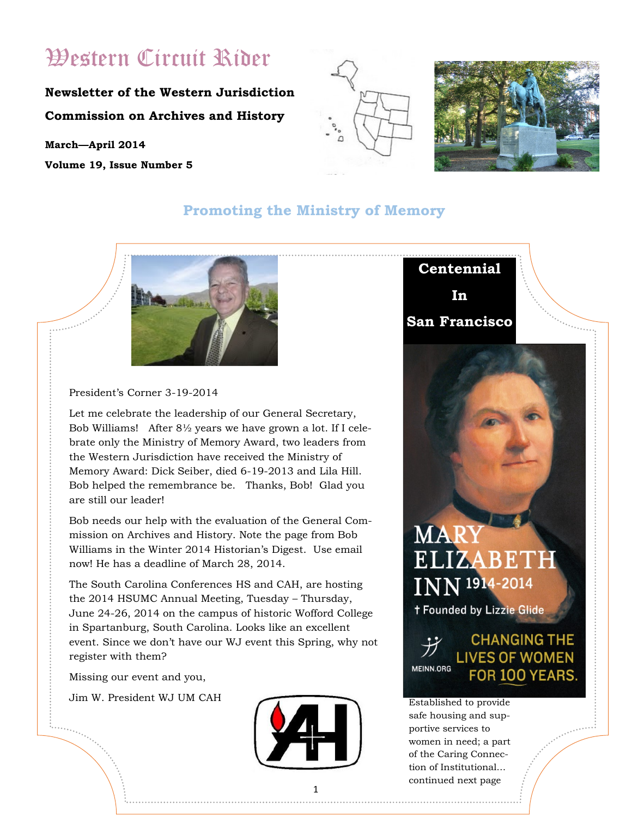## Western Circuit Rider

### **Newsletter of the Western Jurisdiction Commission on Archives and History**

**March—April 2014 Volume 19, Issue Number 5**





#### **Promoting the Ministry of Memory**



President's Corner 3-19-2014

Let me celebrate the leadership of our General Secretary, Bob Williams! After 8½ years we have grown a lot. If I celebrate only the Ministry of Memory Award, two leaders from the Western Jurisdiction have received the Ministry of Memory Award: Dick Seiber, died 6-19-2013 and Lila Hill. Bob helped the remembrance be. Thanks, Bob! Glad you are still our leader!

Bob needs our help with the evaluation of the General Commission on Archives and History. Note the page from Bob Williams in the Winter 2014 Historian's Digest. Use email now! He has a deadline of March 28, 2014.

The South Carolina Conferences HS and CAH, are hosting the 2014 HSUMC Annual Meeting, Tuesday – Thursday, June 24-26, 2014 on the campus of historic Wofford College in Spartanburg, South Carolina. Looks like an excellent event. Since we don't have our WJ event this Spring, why not register with them?

Missing our event and you,

Jim W. President WJ UM CAH





# **MAR**  $INN$ <sup>1914-2014</sup> **t Founded by Lizzie Glide**

#### **CHANGING THE LIVES OF WOMEN MEINN.ORG** FOR 100 YEARS

Established to provide safe housing and supportive services to women in need; a part of the Caring Connection of Institutional… continued next page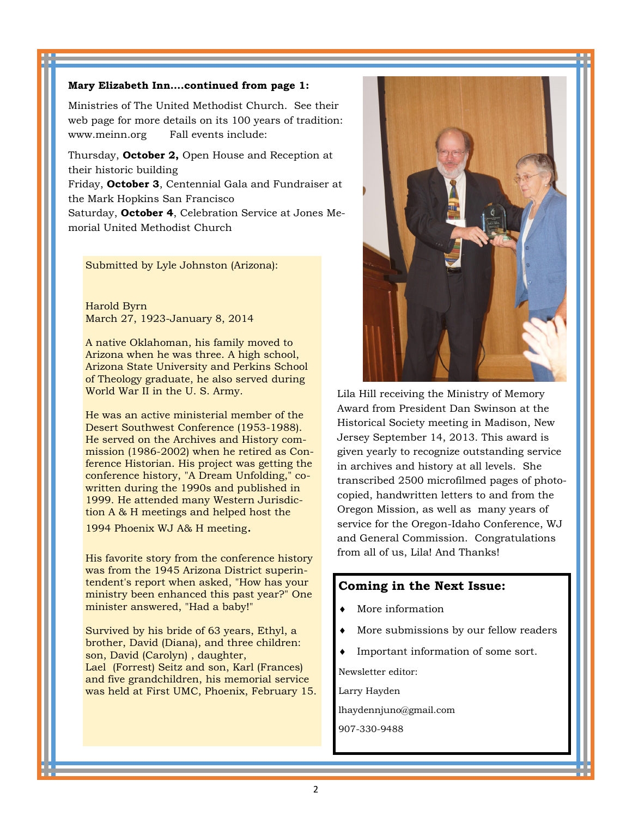#### **Mary Elizabeth Inn….continued from page 1:**

Ministries of The United Methodist Church. See their web page for more details on its 100 years of tradition: www.meinn.org Fall events include:

Thursday, **October 2,** Open House and Reception at their historic building

Friday, **October 3**, Centennial Gala and Fundraiser at the Mark Hopkins San Francisco

Saturday, **October 4**, Celebration Service at Jones Memorial United Methodist Church

Submitted by Lyle Johnston (Arizona):

Harold Byrn March 27, 1923-January 8, 2014

A native Oklahoman, his family moved to Arizona when he was three. A high school, Arizona State University and Perkins School of Theology graduate, he also served during World War II in the U. S. Army.

He was an active ministerial member of the Desert Southwest Conference (1953-1988). He served on the Archives and History commission (1986-2002) when he retired as Conference Historian. His project was getting the conference history, "A Dream Unfolding," cowritten during the 1990s and published in 1999. He attended many Western Jurisdiction A & H meetings and helped host the

1994 Phoenix WJ A& H meeting.

His favorite story from the conference history was from the 1945 Arizona District superintendent's report when asked, "How has your ministry been enhanced this past year?" One minister answered, "Had a baby!"

Survived by his bride of 63 years, Ethyl, a brother, David (Diana), and three children: son, David (Carolyn) , daughter, Lael (Forrest) Seitz and son, Karl (Frances) and five grandchildren, his memorial service was held at First UMC, Phoenix, February 15.



Lila Hill receiving the Ministry of Memory Award from President Dan Swinson at the Historical Society meeting in Madison, New Jersey September 14, 2013. This award is given yearly to recognize outstanding service in archives and history at all levels. She transcribed 2500 microfilmed pages of photocopied, handwritten letters to and from the Oregon Mission, as well as many years of service for the Oregon-Idaho Conference, WJ and General Commission. Congratulations from all of us, Lila! And Thanks!

#### **Coming in the Next Issue:**

- More information
- More submissions by our fellow readers
- Important information of some sort.

Newsletter editor:

Larry Hayden

lhaydennjuno@gmail.com

907-330-9488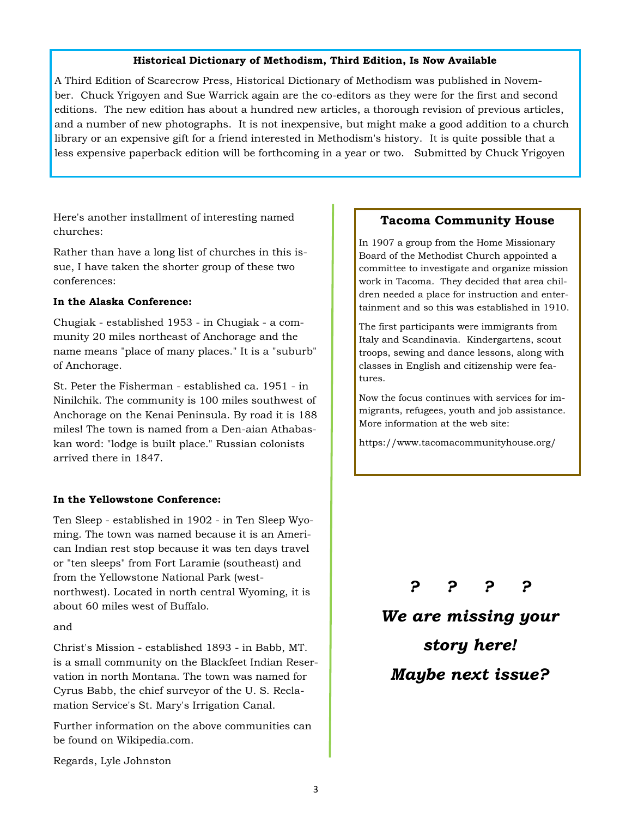#### **Historical Dictionary of Methodism, Third Edition, Is Now Available**

A Third Edition of Scarecrow Press, Historical Dictionary of Methodism was published in November. Chuck Yrigoyen and Sue Warrick again are the co-editors as they were for the first and second editions. The new edition has about a hundred new articles, a thorough revision of previous articles, and a number of new photographs. It is not inexpensive, but might make a good addition to a church library or an expensive gift for a friend interested in Methodism's history. It is quite possible that a less expensive paperback edition will be forthcoming in a year or two. Submitted by Chuck Yrigoyen

Here's another installment of interesting named churches:

Rather than have a long list of churches in this issue, I have taken the shorter group of these two conferences:

#### **In the Alaska Conference:**

Chugiak - established 1953 - in Chugiak - a community 20 miles northeast of Anchorage and the name means "place of many places." It is a "suburb" of Anchorage.

St. Peter the Fisherman - established ca. 1951 - in Ninilchik. The community is 100 miles southwest of Anchorage on the Kenai Peninsula. By road it is 188 miles! The town is named from a Den-aian Athabaskan word: "lodge is built place." Russian colonists arrived there in 1847.

#### **In the Yellowstone Conference:**

Ten Sleep - established in 1902 - in Ten Sleep Wyoming. The town was named because it is an American Indian rest stop because it was ten days travel or "ten sleeps" from Fort Laramie (southeast) and from the Yellowstone National Park (westnorthwest). Located in north central Wyoming, it is about 60 miles west of Buffalo.

#### and

Christ's Mission - established 1893 - in Babb, MT. is a small community on the Blackfeet Indian Reservation in north Montana. The town was named for Cyrus Babb, the chief surveyor of the U. S. Reclamation Service's St. Mary's Irrigation Canal.

Further information on the above communities can be found on Wikipedia.com.

#### **Tacoma Community House**

In 1907 a group from the Home Missionary Board of the Methodist Church appointed a committee to investigate and organize mission work in Tacoma. They decided that area children needed a place for instruction and entertainment and so this was established in 1910.

The first participants were immigrants from Italy and Scandinavia. Kindergartens, scout troops, sewing and dance lessons, along with classes in English and citizenship were features.

Now the focus continues with services for immigrants, refugees, youth and job assistance. More information at the web site:

https://www.tacomacommunityhouse.org/

*? ? ? ?*

*We are missing your story here! Maybe next issue?*

Regards, Lyle Johnston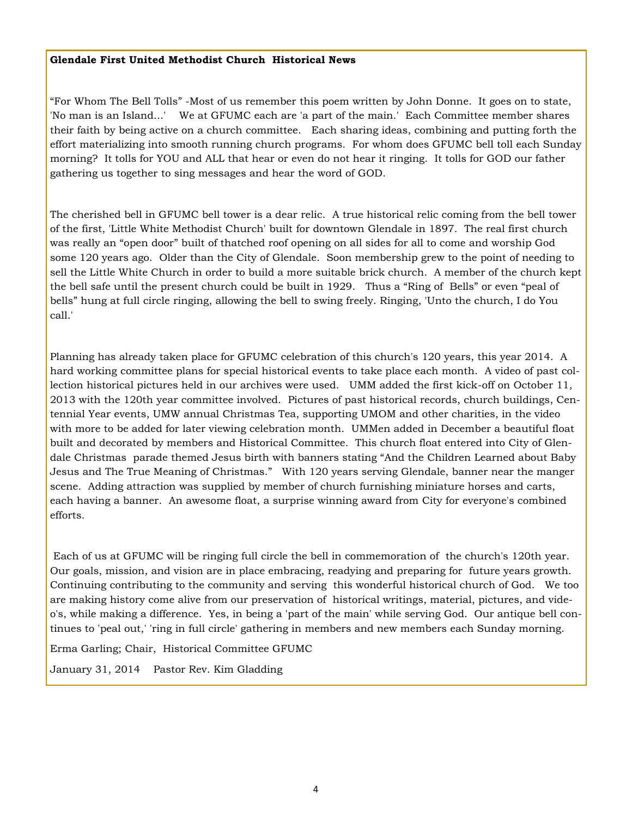#### **Glendale First United Methodist Church Historical News**

"For Whom The Bell Tolls" -Most of us remember this poem written by John Donne. It goes on to state, 'No man is an Island...' We at GFUMC each are 'a part of the main.' Each Committee member shares their faith by being active on a church committee. Each sharing ideas, combining and putting forth the effort materializing into smooth running church programs. For whom does GFUMC bell toll each Sunday morning? It tolls for YOU and ALL that hear or even do not hear it ringing. It tolls for GOD our father gathering us together to sing messages and hear the word of GOD.

The cherished bell in GFUMC bell tower is a dear relic. A true historical relic coming from the bell tower of the first, 'Little White Methodist Church' built for downtown Glendale in 1897. The real first church was really an "open door" built of thatched roof opening on all sides for all to come and worship God some 120 years ago. Older than the City of Glendale. Soon membership grew to the point of needing to sell the Little White Church in order to build a more suitable brick church. A member of the church kept the bell safe until the present church could be built in 1929. Thus a "Ring of Bells" or even "peal of bells" hung at full circle ringing, allowing the bell to swing freely. Ringing, 'Unto the church, I do You call.'

Planning has already taken place for GFUMC celebration of this church's 120 years, this year 2014. A hard working committee plans for special historical events to take place each month. A video of past collection historical pictures held in our archives were used. UMM added the first kick-off on October 11, 2013 with the 120th year committee involved. Pictures of past historical records, church buildings, Centennial Year events, UMW annual Christmas Tea, supporting UMOM and other charities, in the video with more to be added for later viewing celebration month. UMMen added in December a beautiful float built and decorated by members and Historical Committee. This church float entered into City of Glendale Christmas parade themed Jesus birth with banners stating "And the Children Learned about Baby Jesus and The True Meaning of Christmas." With 120 years serving Glendale, banner near the manger scene. Adding attraction was supplied by member of church furnishing miniature horses and carts, each having a banner. An awesome float, a surprise winning award from City for everyone's combined efforts.

Each of us at GFUMC will be ringing full circle the bell in commemoration of the church's 120th year. Our goals, mission, and vision are in place embracing, readying and preparing for future years growth. Continuing contributing to the community and serving this wonderful historical church of God. We too are making history come alive from our preservation of historical writings, material, pictures, and video's, while making a difference. Yes, in being a 'part of the main' while serving God. Our antique bell continues to 'peal out,' 'ring in full circle' gathering in members and new members each Sunday morning.

Erma Garling; Chair, Historical Committee GFUMC

January 31, 2014 Pastor Rev. Kim Gladding